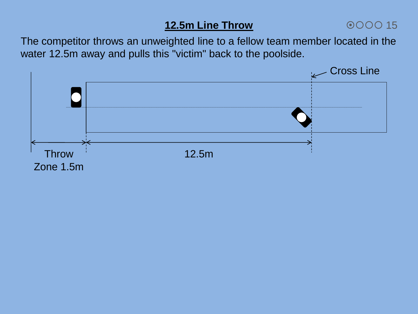# **12.5m Line Throw**

## 0000 15

The competitor throws an unweighted line to a fellow team member located in the water 12.5m away and pulls this "victim" back to the poolside.

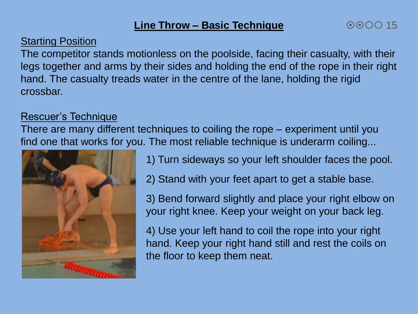## **Line Throw – Basic Technique**

#### Starting Position

The competitor stands motionless on the poolside, facing their casualty, with their legs together and arms by their sides and holding the end of the rope in their right hand. The casualty treads water in the centre of the lane, holding the rigid crossbar.

### Rescuer's Technique

There are many different techniques to coiling the rope – experiment until you find one that works for you. The most reliable technique is underarm coiling...



- 1) Turn sideways so your left shoulder faces the pool.
- 2) Stand with your feet apart to get a stable base.

3) Bend forward slightly and place your right elbow on your right knee. Keep your weight on your back leg.

4) Use your left hand to coil the rope into your right hand. Keep your right hand still and rest the coils on the floor to keep them neat.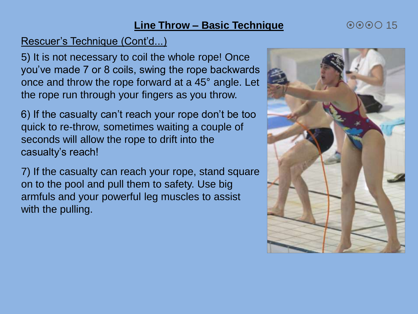### **Line Throw – Basic Technique**

## Rescuer's Technique (Cont'd...)

5) It is not necessary to coil the whole rope! Once you've made 7 or 8 coils, swing the rope backwards once and throw the rope forward at a 45° angle. Let the rope run through your fingers as you throw.

6) If the casualty can't reach your rope don't be too quick to re-throw, sometimes waiting a couple of seconds will allow the rope to drift into the casualty's reach!

7) If the casualty can reach your rope, stand square on to the pool and pull them to safety. Use big armfuls and your powerful leg muscles to assist with the pulling.



 $000015$